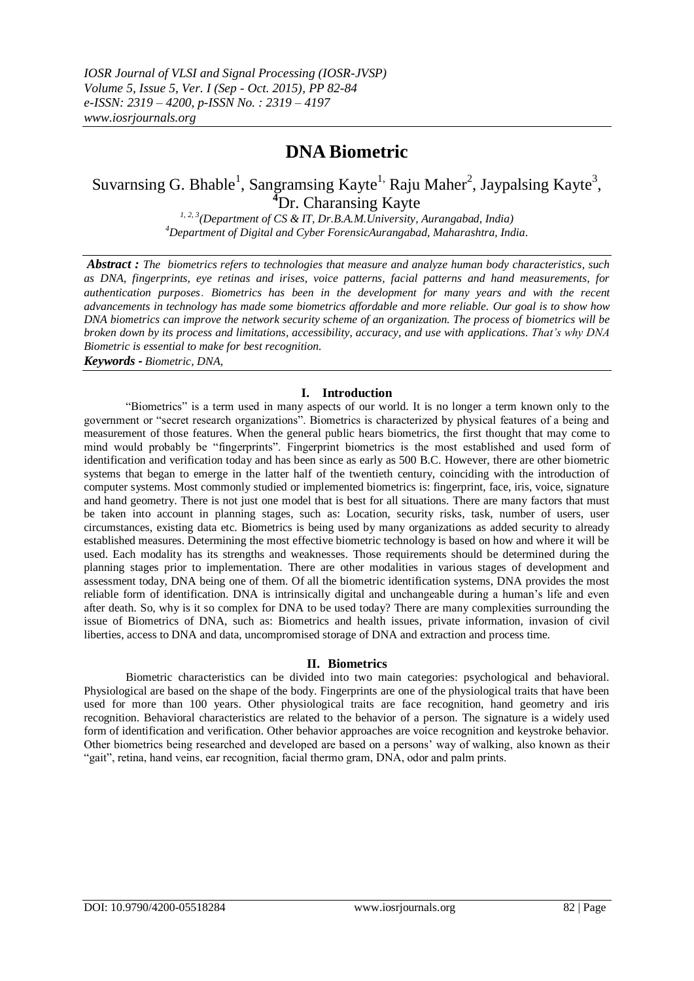# **DNA Biometric**

# Suvarnsing G. Bhable<sup>1</sup>, Sangramsing Kayte<sup>1,</sup> Raju Maher<sup>2</sup>, Jaypalsing Kayte<sup>3</sup>, **<sup>4</sup>**Dr. Charansing Kayte

*1, 2, 3(Department of CS & IT, Dr.B.A.M.University, Aurangabad, India) <sup>4</sup>Department of Digital and Cyber ForensicAurangabad, Maharashtra, India.*

*Abstract : The biometrics refers to technologies that measure and analyze human body characteristics, such as DNA, fingerprints, eye retinas and irises, voice patterns, facial patterns and hand measurements, for authentication purposes*. *Biometrics has been in the development for many years and with the recent advancements in technology has made some biometrics affordable and more reliable. Our goal is to show how DNA biometrics can improve the network security scheme of an organization. The process of biometrics will be broken down by its process and limitations, accessibility, accuracy, and use with applications. That's why DNA Biometric is essential to make for best recognition. Keywords - Biometric, DNA,*

#### **I. Introduction**

"Biometrics" is a term used in many aspects of our world. It is no longer a term known only to the government or "secret research organizations". Biometrics is characterized by physical features of a being and measurement of those features. When the general public hears biometrics, the first thought that may come to mind would probably be "fingerprints". Fingerprint biometrics is the most established and used form of identification and verification today and has been since as early as 500 B.C. However, there are other biometric systems that began to emerge in the latter half of the twentieth century, coinciding with the introduction of computer systems. Most commonly studied or implemented biometrics is: fingerprint, face, iris, voice, signature and hand geometry. There is not just one model that is best for all situations. There are many factors that must be taken into account in planning stages, such as: Location, security risks, task, number of users, user circumstances, existing data etc. Biometrics is being used by many organizations as added security to already established measures. Determining the most effective biometric technology is based on how and where it will be used. Each modality has its strengths and weaknesses. Those requirements should be determined during the planning stages prior to implementation. There are other modalities in various stages of development and assessment today, DNA being one of them. Of all the biometric identification systems, DNA provides the most reliable form of identification. DNA is intrinsically digital and unchangeable during a human's life and even after death. So, why is it so complex for DNA to be used today? There are many complexities surrounding the issue of Biometrics of DNA, such as: Biometrics and health issues, private information, invasion of civil liberties, access to DNA and data, uncompromised storage of DNA and extraction and process time.

## **II. Biometrics**

Biometric characteristics can be divided into two main categories: psychological and behavioral. Physiological are based on the shape of the body. Fingerprints are one of the physiological traits that have been used for more than 100 years. Other physiological traits are face recognition, hand geometry and iris recognition. Behavioral characteristics are related to the behavior of a person. The signature is a widely used form of identification and verification. Other behavior approaches are voice recognition and keystroke behavior. Other biometrics being researched and developed are based on a persons' way of walking, also known as their "gait", retina, hand veins, ear recognition, facial thermo gram, DNA, odor and palm prints.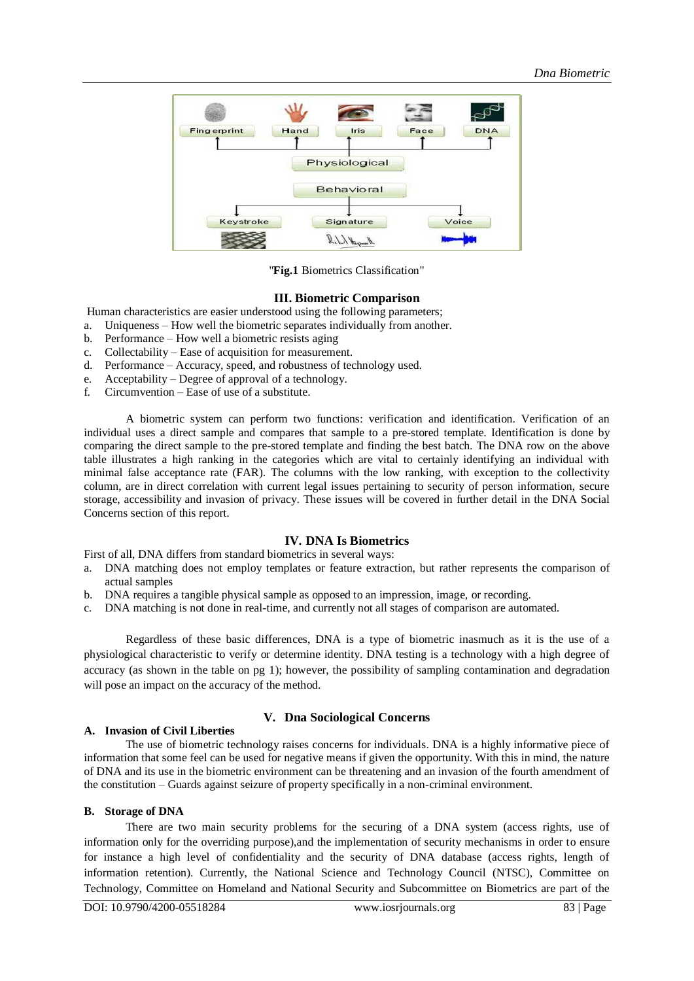

"**Fig.1** Biometrics Classification"

## **III. Biometric Comparison**

Human characteristics are easier understood using the following parameters;

- a. Uniqueness How well the biometric separates individually from another.
- b. Performance How well a biometric resists aging
- c. Collectability Ease of acquisition for measurement.<br>d. Performance Accuracy, speed, and robustness of tea
- Performance Accuracy, speed, and robustness of technology used.
- e. Acceptability Degree of approval of a technology.
- f. Circumvention Ease of use of a substitute.

A biometric system can perform two functions: verification and identification. Verification of an individual uses a direct sample and compares that sample to a pre-stored template. Identification is done by comparing the direct sample to the pre-stored template and finding the best batch. The DNA row on the above table illustrates a high ranking in the categories which are vital to certainly identifying an individual with minimal false acceptance rate (FAR). The columns with the low ranking, with exception to the collectivity column, are in direct correlation with current legal issues pertaining to security of person information, secure storage, accessibility and invasion of privacy. These issues will be covered in further detail in the DNA Social Concerns section of this report.

# **IV. DNA Is Biometrics**

First of all, DNA differs from standard biometrics in several ways:

- a. DNA matching does not employ templates or feature extraction, but rather represents the comparison of actual samples
- b. DNA requires a tangible physical sample as opposed to an impression, image, or recording.
- c. DNA matching is not done in real-time, and currently not all stages of comparison are automated.

Regardless of these basic differences, DNA is a type of biometric inasmuch as it is the use of a physiological characteristic to verify or determine identity. DNA testing is a technology with a high degree of accuracy (as shown in the table on pg 1); however, the possibility of sampling contamination and degradation will pose an impact on the accuracy of the method.

#### **A. Invasion of Civil Liberties**

#### **V. Dna Sociological Concerns**

The use of biometric technology raises concerns for individuals. DNA is a highly informative piece of information that some feel can be used for negative means if given the opportunity. With this in mind, the nature of DNA and its use in the biometric environment can be threatening and an invasion of the fourth amendment of the constitution – Guards against seizure of property specifically in a non-criminal environment.

#### **B. Storage of DNA**

There are two main security problems for the securing of a DNA system (access rights, use of information only for the overriding purpose),and the implementation of security mechanisms in order to ensure for instance a high level of confidentiality and the security of DNA database (access rights, length of information retention). Currently, the National Science and Technology Council (NTSC), Committee on Technology, Committee on Homeland and National Security and Subcommittee on Biometrics are part of the